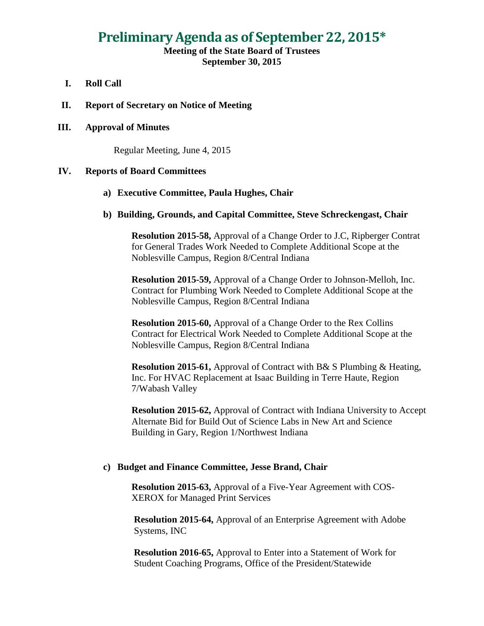# **Preliminary Agenda as of September 22, 2015\***

# **Meeting of the State Board of Trustees September 30, 2015**

- **I. Roll Call**
- **II. Report of Secretary on Notice of Meeting**

#### **III. Approval of Minutes**

Regular Meeting, June 4, 2015

# **IV. Reports of Board Committees**

**a) Executive Committee, Paula Hughes, Chair**

### **b) Building, Grounds, and Capital Committee, Steve Schreckengast, Chair**

**Resolution 2015-58,** Approval of a Change Order to J.C, Ripberger Contrat for General Trades Work Needed to Complete Additional Scope at the Noblesville Campus, Region 8/Central Indiana

**Resolution 2015-59,** Approval of a Change Order to Johnson-Melloh, Inc. Contract for Plumbing Work Needed to Complete Additional Scope at the Noblesville Campus, Region 8/Central Indiana

**Resolution 2015-60,** Approval of a Change Order to the Rex Collins Contract for Electrical Work Needed to Complete Additional Scope at the Noblesville Campus, Region 8/Central Indiana

**Resolution 2015-61,** Approval of Contract with B& S Plumbing & Heating, Inc. For HVAC Replacement at Isaac Building in Terre Haute, Region 7/Wabash Valley

**Resolution 2015-62,** Approval of Contract with Indiana University to Accept Alternate Bid for Build Out of Science Labs in New Art and Science Building in Gary, Region 1/Northwest Indiana

### **c) Budget and Finance Committee, Jesse Brand, Chair**

**Resolution 2015-63,** Approval of a Five-Year Agreement with COS-XEROX for Managed Print Services

**Resolution 2015-64,** Approval of an Enterprise Agreement with Adobe Systems, INC

**Resolution 2016-65,** Approval to Enter into a Statement of Work for Student Coaching Programs, Office of the President/Statewide